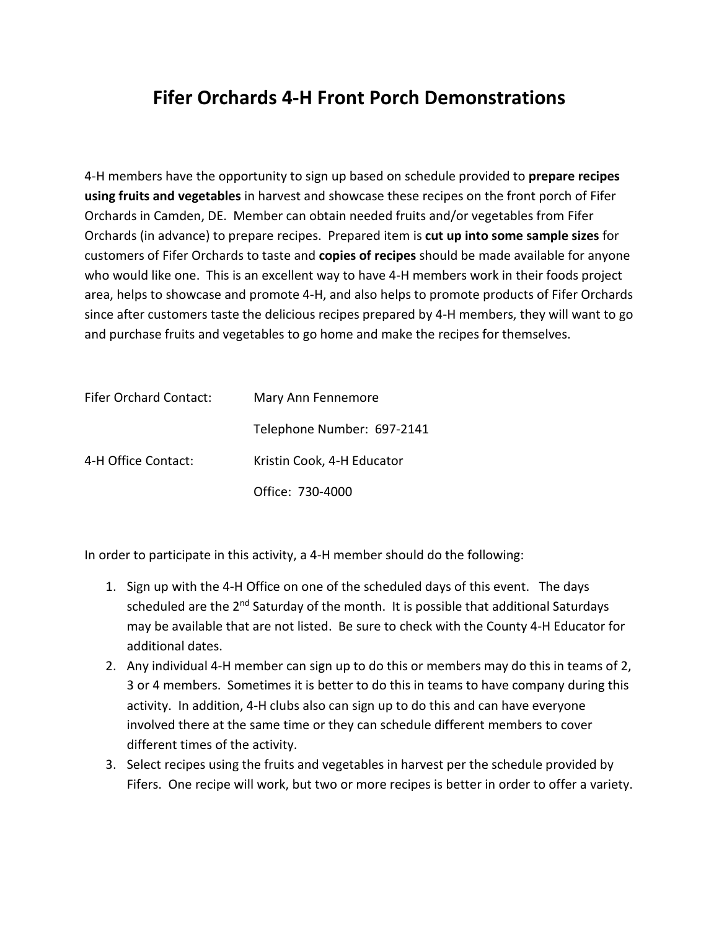## **Fifer Orchards 4-H Front Porch Demonstrations**

4-H members have the opportunity to sign up based on schedule provided to **prepare recipes using fruits and vegetables** in harvest and showcase these recipes on the front porch of Fifer Orchards in Camden, DE. Member can obtain needed fruits and/or vegetables from Fifer Orchards (in advance) to prepare recipes. Prepared item is **cut up into some sample sizes** for customers of Fifer Orchards to taste and **copies of recipes** should be made available for anyone who would like one. This is an excellent way to have 4-H members work in their foods project area, helps to showcase and promote 4-H, and also helps to promote products of Fifer Orchards since after customers taste the delicious recipes prepared by 4-H members, they will want to go and purchase fruits and vegetables to go home and make the recipes for themselves.

| <b>Fifer Orchard Contact:</b> | Mary Ann Fennemore         |
|-------------------------------|----------------------------|
|                               | Telephone Number: 697-2141 |
| 4-H Office Contact:           | Kristin Cook, 4-H Educator |
|                               | Office: 730-4000           |

In order to participate in this activity, a 4-H member should do the following:

- 1. Sign up with the 4-H Office on one of the scheduled days of this event. The days scheduled are the 2<sup>nd</sup> Saturday of the month. It is possible that additional Saturdays may be available that are not listed. Be sure to check with the County 4-H Educator for additional dates.
- 2. Any individual 4-H member can sign up to do this or members may do this in teams of 2, 3 or 4 members. Sometimes it is better to do this in teams to have company during this activity. In addition, 4-H clubs also can sign up to do this and can have everyone involved there at the same time or they can schedule different members to cover different times of the activity.
- 3. Select recipes using the fruits and vegetables in harvest per the schedule provided by Fifers. One recipe will work, but two or more recipes is better in order to offer a variety.